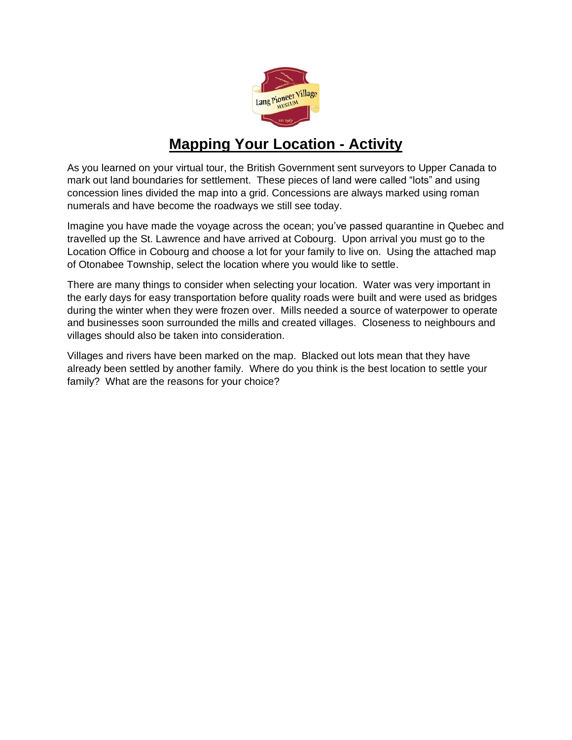

## **Mapping Your Location - Activity**

As you learned on your virtual tour, the British Government sent surveyors to Upper Canada to mark out land boundaries for settlement. These pieces of land were called "lots" and using concession lines divided the map into a grid. Concessions are always marked using roman numerals and have become the roadways we still see today.

Imagine you have made the voyage across the ocean; you've passed quarantine in Quebec and travelled up the St. Lawrence and have arrived at Cobourg. Upon arrival you must go to the Location Office in Cobourg and choose a lot for your family to live on. Using the attached map of Otonabee Township, select the location where you would like to settle.

There are many things to consider when selecting your location. Water was very important in the early days for easy transportation before quality roads were built and were used as bridges during the winter when they were frozen over. Mills needed a source of waterpower to operate and businesses soon surrounded the mills and created villages. Closeness to neighbours and villages should also be taken into consideration.

Villages and rivers have been marked on the map. Blacked out lots mean that they have already been settled by another family. Where do you think is the best location to settle your family? What are the reasons for your choice?